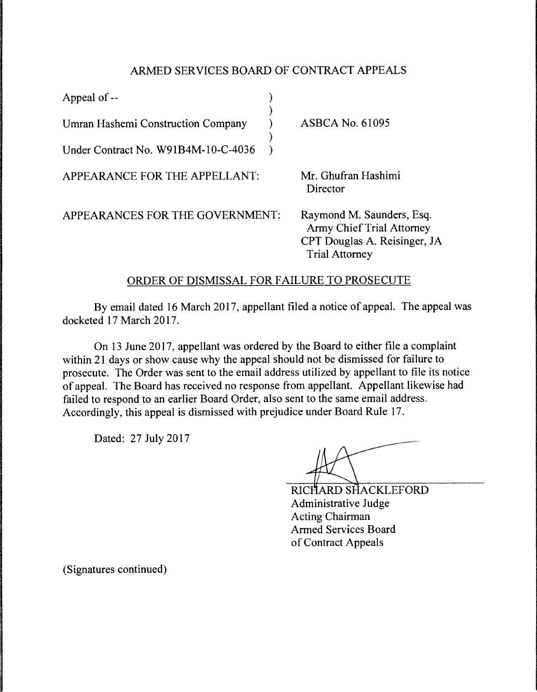## ARMED SERVICES BOARD OF CONTRACT APPEALS

| Appeal of --                        |                                                                                                                 |
|-------------------------------------|-----------------------------------------------------------------------------------------------------------------|
| Umran Hashemi Construction Company  | <b>ASBCA No. 61095</b>                                                                                          |
| Under Contract No. W91B4M-10-C-4036 |                                                                                                                 |
| APPEARANCE FOR THE APPELLANT:       | Mr. Ghufran Hashimi<br>Director                                                                                 |
| APPEARANCES FOR THE GOVERNMENT:     | Raymond M. Saunders, Esq.<br>Army Chief Trial Attorney<br>CPT Douglas A. Reisinger, JA<br><b>Trial Attorney</b> |

## ORDER OF DISMISSAL FOR FAILURE TO PROSECUTE

By email dated 16 March 2017, appellant filed a notice of appeal. The appeal was docketed 17 March 2017.

On 13 June 2017, appellant was ordered by the Board to either file a complaint within 21 days or show cause why the appeal should not be dismissed for failure to prosecute. The Order was sent to the email address utilized by appellant to file its notice of appeal. The Board has received no response from appellant. Appellant likewise had failed to respond to an earlier Board Order, also sent to the same email address. Accordingly, this appeal is dismissed with prejudice under Board Rule 17.

Dated: 27 July 2017

RICHARD SHACKLEFORD Administrative Judge Acting Chairman Armed Services Board of Contract Appeals

(Signatures continued)